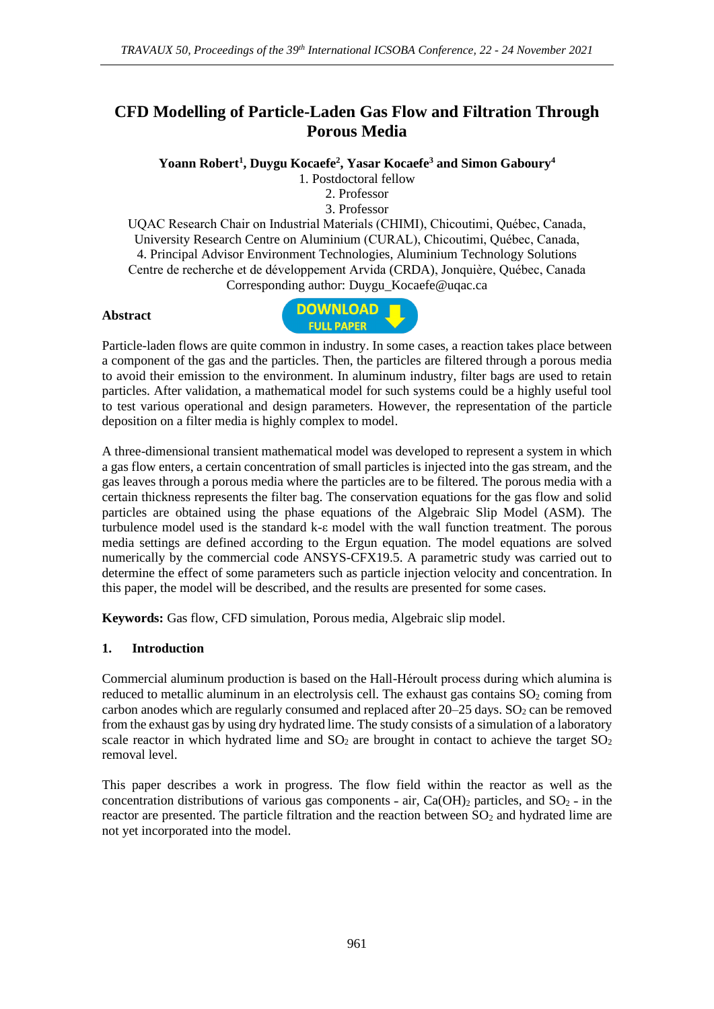# **CFD Modelling of Particle-Laden Gas Flow and Filtration Through Porous Media**

**Yoann Robert<sup>1</sup> , Duygu Kocaefe<sup>2</sup> , Yasar Kocaefe<sup>3</sup> and Simon Gaboury<sup>4</sup>**

1. Postdoctoral fellow

2. Professor

3. Professor

UQAC Research Chair on Industrial Materials (CHIMI), Chicoutimi, Québec, Canada, University Research Centre on Aluminium (CURAL), Chicoutimi, Québec, Canada, 4. Principal Advisor Environment Technologies, Aluminium Technology Solutions Centre de recherche et de développement Arvida (CRDA), Jonquière, Québec, Canada Corresponding author: Duygu\_Kocaefe@uqac.ca

#### **Abstract**



Particle-laden flows are quite common in industry. In some cases, a reaction takes place between a component of the gas and the particles. Then, the particles are filtered through a porous media to avoid their emission to the environment. In aluminum industry, filter bags are used to retain particles. After validation, a mathematical model for such systems could be a highly useful tool to test various operational and design parameters. However, the representation of the particle deposition on a filter media is highly complex to model.

A three-dimensional transient mathematical model was developed to represent a system in which a gas flow enters, a certain concentration of small particles is injected into the gas stream, and the gas leaves through a porous media where the particles are to be filtered. The porous media with a certain thickness represents the filter bag. The conservation equations for the gas flow and solid particles are obtained using the phase equations of the Algebraic Slip Model (ASM). The turbulence model used is the standard k-ε model with the wall function treatment. The porous media settings are defined according to the Ergun equation. The model equations are solved numerically by the commercial code ANSYS-CFX19.5. A parametric study was carried out to determine the effect of some parameters such as particle injection velocity and concentration. In this paper, the model will be described, and the results are presented for some cases.

**Keywords:** Gas flow, CFD simulation, Porous media, Algebraic slip model.

## **1. Introduction**

Commercial aluminum production is based on the Hall-Héroult process during which alumina is reduced to metallic aluminum in an electrolysis cell. The exhaust gas contains  $SO<sub>2</sub>$  coming from carbon anodes which are regularly consumed and replaced after  $20-25$  days.  $SO<sub>2</sub>$  can be removed from the exhaust gas by using dry hydrated lime. The study consists of a simulation of a laboratory scale reactor in which hydrated lime and  $SO_2$  are brought in contact to achieve the target  $SO_2$ removal level.

This paper describes a work in progress. The flow field within the reactor as well as the concentration distributions of various gas components - air,  $Ca(OH)_2$  particles, and  $SO_2$  - in the reactor are presented. The particle filtration and the reaction between SO<sub>2</sub> and hydrated lime are not yet incorporated into the model.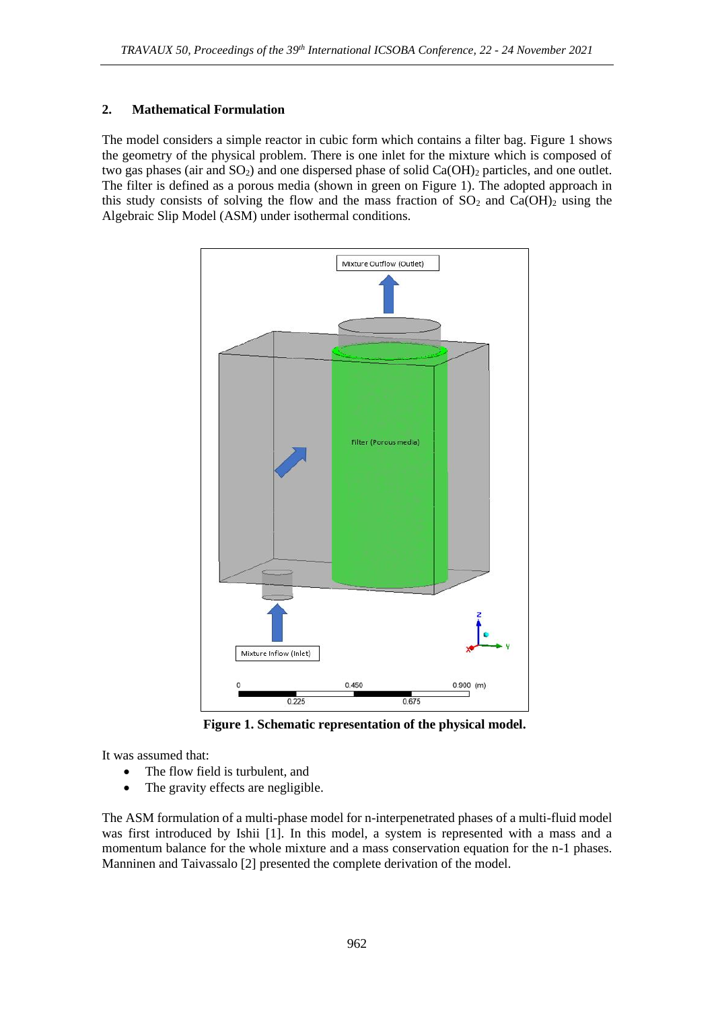## **2. Mathematical Formulation**

The model considers a simple reactor in cubic form which contains a filter bag. Figure 1 shows the geometry of the physical problem. There is one inlet for the mixture which is composed of two gas phases (air and  $SO_2$ ) and one dispersed phase of solid  $Ca(OH)_2$  particles, and one outlet. The filter is defined as a porous media (shown in green on Figure 1). The adopted approach in this study consists of solving the flow and the mass fraction of  $SO<sub>2</sub>$  and  $Ca(OH)<sub>2</sub>$  using the Algebraic Slip Model (ASM) under isothermal conditions.



**Figure 1. Schematic representation of the physical model.**

It was assumed that:

- The flow field is turbulent, and
- The gravity effects are negligible.

The ASM formulation of a multi-phase model for n-interpenetrated phases of a multi-fluid model was first introduced by Ishii [1]. In this model, a system is represented with a mass and a momentum balance for the whole mixture and a mass conservation equation for the n-1 phases. Manninen and Taivassalo [2] presented the complete derivation of the model.